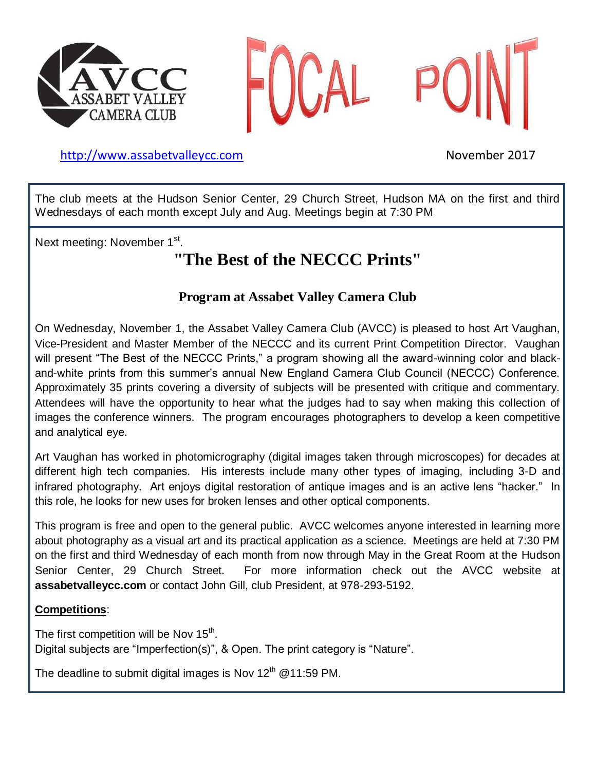



## [http://www.assabetvalleyc](http://www.assabetvalley/)c.com November 2017

The club meets at the Hudson Senior Center, 29 Church Street, Hudson MA on the first and third Wednesdays of each month except July and Aug. Meetings begin at 7:30 PM

Next meeting: November 1<sup>st</sup>.

# **"The Best of the NECCC Prints"**

## **Program at Assabet Valley Camera Club**

On Wednesday, November 1, the Assabet Valley Camera Club (AVCC) is pleased to host Art Vaughan, Vice-President and Master Member of the NECCC and its current Print Competition Director. Vaughan will present "The Best of the NECCC Prints," a program showing all the award-winning color and blackand-white prints from this summer's annual New England Camera Club Council (NECCC) Conference. Approximately 35 prints covering a diversity of subjects will be presented with critique and commentary. Attendees will have the opportunity to hear what the judges had to say when making this collection of images the conference winners. The program encourages photographers to develop a keen competitive and analytical eye.

Art Vaughan has worked in photomicrography (digital images taken through microscopes) for decades at different high tech companies. His interests include many other types of imaging, including 3-D and infrared photography. Art enjoys digital restoration of antique images and is an active lens "hacker." In this role, he looks for new uses for broken lenses and other optical components.

This program is free and open to the general public. AVCC welcomes anyone interested in learning more about photography as a visual art and its practical application as a science. Meetings are held at 7:30 PM on the first and third Wednesday of each month from now through May in the Great Room at the Hudson Senior Center, 29 Church Street. For more information check out the AVCC website at **assabetvalleycc.com** or contact John Gill, club President, at 978-293-5192.

## **Competitions**:

The first competition will be Nov 15<sup>th</sup>. Digital subjects are "Imperfection(s)", & Open. The print category is "Nature".

The deadline to submit digital images is Nov 12<sup>th</sup> @11:59 PM.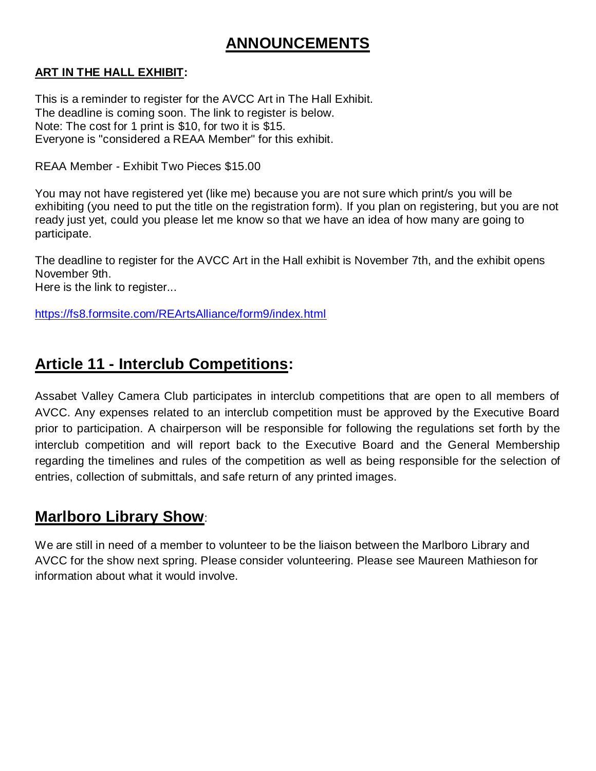# **ANNOUNCEMENTS**

## **ART IN THE HALL EXHIBIT:**

This is a reminder to register for the AVCC Art in The Hall Exhibit. The deadline is coming soon. The link to register is below. Note: The cost for 1 print is \$10, for two it is \$15. Everyone is "considered a REAA Member" for this exhibit.

REAA Member - Exhibit Two Pieces \$15.00

You may not have registered yet (like me) because you are not sure which print/s you will be exhibiting (you need to put the title on the registration form). If you plan on registering, but you are not ready just yet, could you please let me know so that we have an idea of how many are going to participate.

The deadline to register for the AVCC Art in the Hall exhibit is November 7th, and the exhibit opens November 9th.

Here is the link to register...

<https://fs8.formsite.com/REArtsAlliance/form9/index.html>

# **Article 11 - Interclub Competitions:**

Assabet Valley Camera Club participates in interclub competitions that are open to all members of AVCC. Any expenses related to an interclub competition must be approved by the Executive Board prior to participation. A chairperson will be responsible for following the regulations set forth by the interclub competition and will report back to the Executive Board and the General Membership regarding the timelines and rules of the competition as well as being responsible for the selection of entries, collection of submittals, and safe return of any printed images.

# **Marlboro Library Show**:

We are still in need of a member to volunteer to be the liaison between the Marlboro Library and AVCC for the show next spring. Please consider volunteering. Please see Maureen Mathieson for information about what it would involve.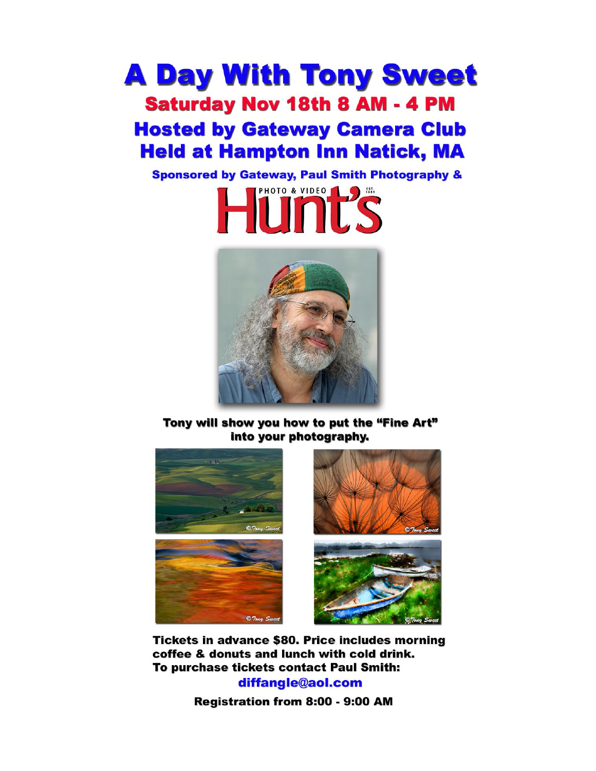# **A Day With Tony Sweet Saturday Nov 18th 8 AM - 4 PM Hosted by Gateway Camera Club Held at Hampton Inn Natick, MA**

**Sponsored by Gateway, Paul Smith Photography &** 





Tony will show you how to put the "Fine Art" into your photography.



**Tickets in advance \$80. Price includes morning** coffee & donuts and lunch with cold drink. To purchase tickets contact Paul Smith:

diffangle@aol.com

Registration from 8:00 - 9:00 AM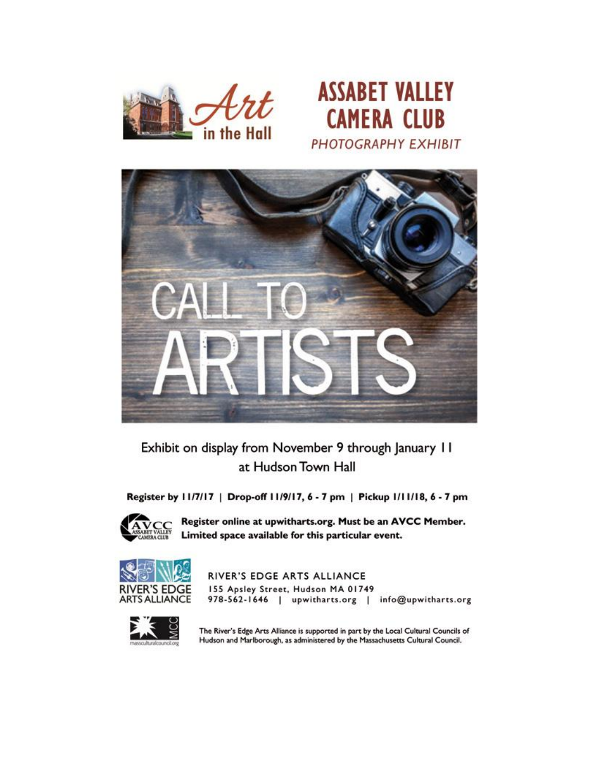



Exhibit on display from November 9 through January 11 at Hudson Town Hall

Register by 11/7/17 | Drop-off 11/9/17, 6 - 7 pm | Pickup 1/11/18, 6 - 7 pm



Register online at upwitharts.org. Must be an AVCC Member. Limited space available for this particular event.



RIVER'S EDGE ARTS ALLIANCE 155 Apsley Street, Hudson MA 01749 978-562-1646 | upwitharts.org | info@upwitharts.org



The River's Edge Arts Alliance is supported in part by the Local Cultural Councils of Hudson and Marlborough, as administered by the Massachusetts Cultural Council.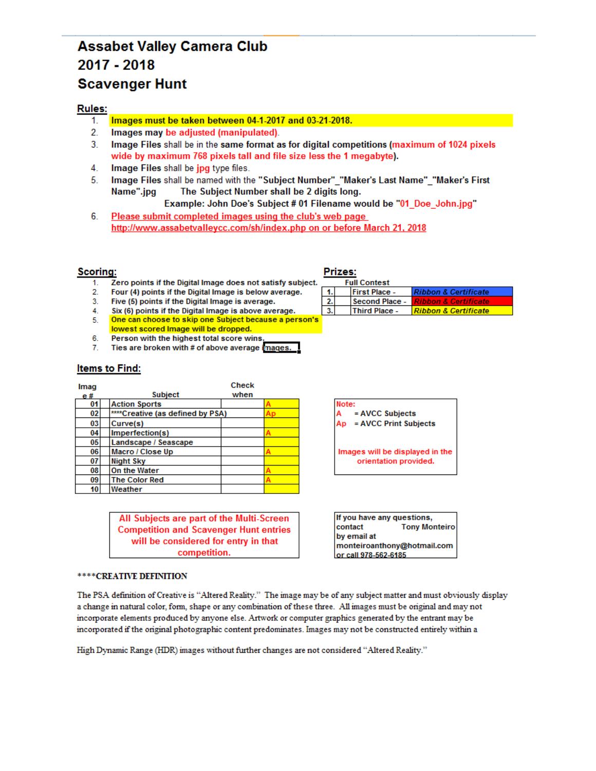# **Assabet Valley Camera Club** 2017 - 2018 **Scavenger Hunt**

### **Rules:**

- Images must be taken between 04-1-2017 and 03-21-2018. 1.
- $2.$ Images may be adjusted (manipulated).
- $3<sub>1</sub>$ Image Files shall be in the same format as for digital competitions (maximum of 1024 pixels wide by maximum 768 pixels tall and file size less the 1 megabyte).
- 4. Image Files shall be jpg type files.
- 5. Image Files shall be named with the "Subject Number" "Maker's Last Name" "Maker's First Name".jpg The Subject Number shall be 2 digits long.

Example: John Doe's Subject # 01 Filename would be "01\_Doe\_John.jpg"

6. Please submit completed images using the club's web page http://www.assabetvalleycc.com/sh/index.php on or before March 21, 2018

### **Scoring:**

- Zero points if the Digital Image does not satisfy subject.  $1<sup>1</sup>$
- $2.$ Four (4) points if the Digital Image is below average.
- Five (5) points if the Digital Image is average.  $3.$
- Six (6) points if the Digital Image is above average.  $4.$
- One can choose to skip one Subject because a person's 5.
- lowest scored Image will be dropped. 6.
- Person with the highest total score wins  $7.$ Ties are broken with # of above average images.

### **Items to Find:**

| Imag |                                  | <b>Check</b> |  |
|------|----------------------------------|--------------|--|
| e#   | <b>Subject</b>                   | when         |  |
| 01   | <b>Action Sports</b>             |              |  |
| 02   | ****Creative (as defined by PSA) |              |  |
| 03   | Curve(s)                         |              |  |
| 04   | Imperfection(s)                  |              |  |
| 05   | Landscape / Seascape             |              |  |
| 06   | Macro / Close Up                 |              |  |
| 07   | <b>Night Sky</b>                 |              |  |
| 08   | On the Water                     |              |  |
| 09   | <b>The Color Red</b>             |              |  |
| 10   | Weather                          |              |  |

All Subjects are part of the Multi-Screen **Competition and Scavenger Hunt entries** will be considered for entry in that competition.

#### \*\*\*\* CREATIVE DEFINITION

The PSA definition of Creative is "Altered Reality." The image may be of any subject matter and must obviously display a change in natural color, form, shape or any combination of these three. All images must be original and may not incorporate elements produced by anyone else. Artwork or computer graphics generated by the entrant may be incorporated if the original photographic content predominates. Images may not be constructed entirely within a

High Dynamic Range (HDR) images without further changes are not considered "Altered Reality."

### Prizes:

| <b>Full Contest</b> |  |                      |                                    |  |  |  |  |  |  |
|---------------------|--|----------------------|------------------------------------|--|--|--|--|--|--|
|                     |  | <b>First Place -</b> | <b>Ribbon &amp; Certificate</b>    |  |  |  |  |  |  |
|                     |  | Second Place -       | <u> I Ribbon &amp; Certificate</u> |  |  |  |  |  |  |
|                     |  | <b>Third Place -</b> | Ribbon & Certificate               |  |  |  |  |  |  |

Note: = AVCC Subjects = AVCC Print Subjects Ap

Images will be displayed in the orientation provided.

If you have any questions, contact **Tony Monteiro** by email at monteiroanthony@hotmail.com or call 978-562-6185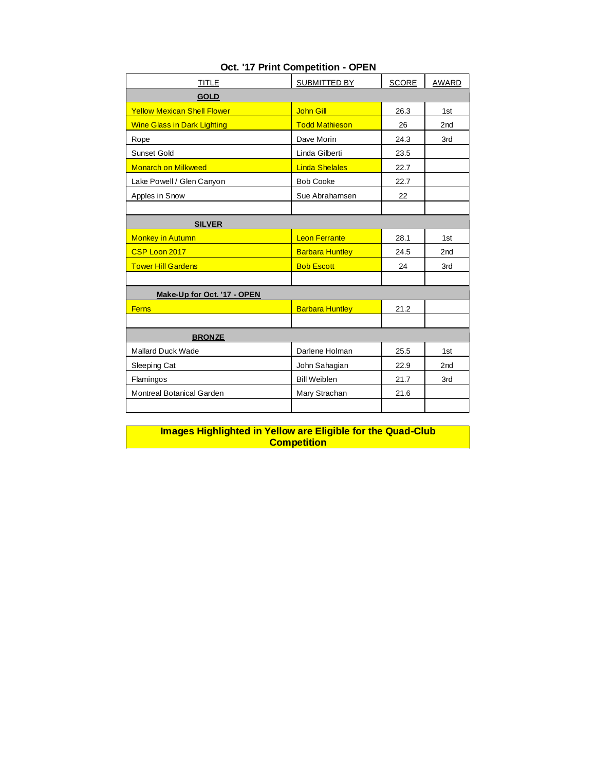| <b>TITLE</b>                       | <b>SUBMITTED BY</b>    | <b>SCORE</b> | AWARD           |
|------------------------------------|------------------------|--------------|-----------------|
| <b>GOLD</b>                        |                        |              |                 |
| <b>Yellow Mexican Shell Flower</b> | <b>John Gill</b>       | 26.3         | 1st             |
| <b>Wine Glass in Dark Lighting</b> | <b>Todd Mathieson</b>  | 26           | 2 <sub>nd</sub> |
| Rope                               | Dave Morin             | 24.3         | 3rd             |
| <b>Sunset Gold</b>                 | Linda Gilberti         | 23.5         |                 |
| <b>Monarch on Milkweed</b>         | <b>Linda Shelales</b>  | 22.7         |                 |
| Lake Powell / Glen Canyon          | <b>Bob Cooke</b>       | 22.7         |                 |
| Apples in Snow                     | Sue Abrahamsen         | 22           |                 |
|                                    |                        |              |                 |
| <b>SILVER</b>                      |                        |              |                 |
| <b>Monkey in Autumn</b>            | <b>Leon Ferrante</b>   | 28.1         | 1st             |
| CSP Loon 2017                      | <b>Barbara Huntley</b> | 24.5         | 2 <sub>nd</sub> |
| <b>Tower Hill Gardens</b>          | <b>Bob Escott</b>      | 24           | 3rd             |
|                                    |                        |              |                 |
| Make-Up for Oct. '17 - OPEN        |                        |              |                 |
| <b>Ferns</b>                       | <b>Barbara Huntley</b> | 21.2         |                 |
|                                    |                        |              |                 |
| <b>BRONZE</b>                      |                        |              |                 |
| <b>Mallard Duck Wade</b>           | Darlene Holman         | 25.5         | 1st             |
| Sleeping Cat                       | John Sahagian          | 22.9         | 2 <sub>nd</sub> |
| Flamingos                          | <b>Bill Weiblen</b>    | 21.7         | 3rd             |
| Montreal Botanical Garden          | Mary Strachan          | 21.6         |                 |
|                                    |                        |              |                 |

## **Oct. '17 Print Competition - OPEN**

**Images Highlighted in Yellow are Eligible for the Quad-Club Competition**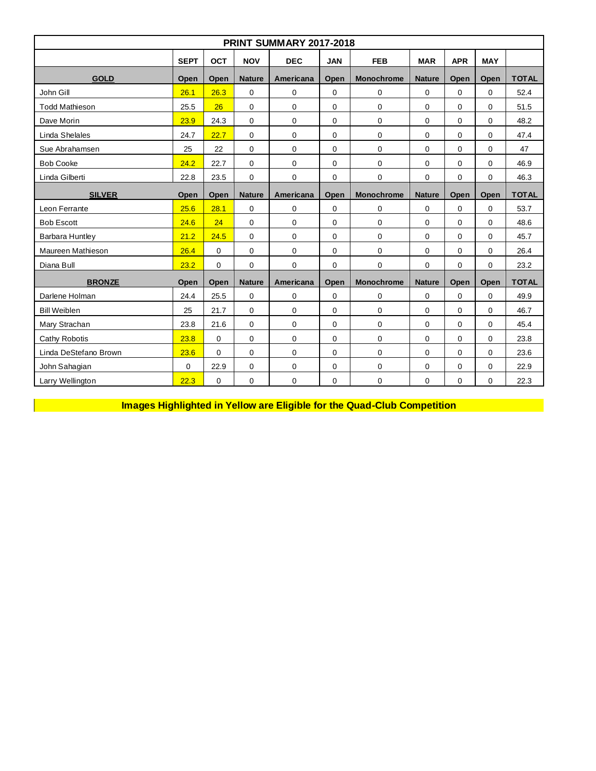| <b>PRINT SUMMARY 2017-2018</b>                                                                                              |             |                                    |               |             |                   |                   |               |             |              |              |  |  |  |
|-----------------------------------------------------------------------------------------------------------------------------|-------------|------------------------------------|---------------|-------------|-------------------|-------------------|---------------|-------------|--------------|--------------|--|--|--|
| <b>SEPT</b><br><b>OCT</b><br><b>APR</b><br><b>NOV</b><br><b>DEC</b><br><b>JAN</b><br><b>FEB</b><br><b>MAR</b><br><b>MAY</b> |             |                                    |               |             |                   |                   |               |             |              |              |  |  |  |
| <b>GOLD</b>                                                                                                                 | Open        | Open                               | <b>Nature</b> | Americana   | Open              | <b>Monochrome</b> | <b>Nature</b> | Open        | Open         | <b>TOTAL</b> |  |  |  |
| John Gill                                                                                                                   | 26.1        | 26.3                               | $\mathbf{0}$  | $\mathbf 0$ | $\mathbf 0$       | $\mathbf 0$       | $\mathbf 0$   | $\Omega$    | $\Omega$     | 52.4         |  |  |  |
| <b>Todd Mathieson</b>                                                                                                       | 25.5        | 26                                 | 0             | $\mathbf 0$ | $\mathbf 0$       | $\Omega$          | 0             | $\Omega$    | $\Omega$     | 51.5         |  |  |  |
| Dave Morin                                                                                                                  | 23.9        | 24.3                               | $\mathbf 0$   | $\mathbf 0$ | 0                 | $\mathbf 0$       | 0             | 0           | 0            | 48.2         |  |  |  |
| Linda Shelales                                                                                                              | 24.7        | 22.7                               | $\mathbf{0}$  | $\mathbf 0$ | $\mathbf 0$       | $\mathbf 0$       | 0             | $\mathbf 0$ | $\Omega$     | 47.4         |  |  |  |
| Sue Abrahamsen                                                                                                              | 25          | 22                                 | $\mathbf{0}$  | $\mathbf 0$ | $\mathbf 0$       | $\mathbf 0$       | 0             | $\mathbf 0$ | 0            | 47           |  |  |  |
| <b>Bob Cooke</b>                                                                                                            | 24.2        | 22.7                               | $\mathbf 0$   | $\mathbf 0$ | 0                 | $\mathbf 0$       | 0             | $\mathbf 0$ | $\Omega$     | 46.9         |  |  |  |
| Linda Gilberti                                                                                                              | 22.8        | 23.5                               | 0             | $\mathbf 0$ | 0                 | $\mathbf 0$       | 0             | 0           | 0            | 46.3         |  |  |  |
| <b>SILVER</b>                                                                                                               | Open        | Open<br><b>Nature</b><br>Americana |               | Open        | <b>Monochrome</b> | <b>Nature</b>     | Open          | Open        | <b>TOTAL</b> |              |  |  |  |
| Leon Ferrante                                                                                                               | 25.6        | 28.1                               | $\mathbf{0}$  | $\mathbf 0$ | $\mathbf 0$       | $\Omega$          | $\Omega$      | $\Omega$    | $\Omega$     | 53.7         |  |  |  |
| <b>Bob Escott</b>                                                                                                           | 24.6        | 24                                 | $\mathbf{0}$  | $\mathbf 0$ | $\mathbf 0$       | $\mathbf{0}$      | $\Omega$      | $\Omega$    | $\Omega$     | 48.6         |  |  |  |
| Barbara Huntley                                                                                                             | 21.2        | 24.5                               | $\mathbf 0$   | 0           | 0                 | $\mathbf 0$       | 0             | $\mathbf 0$ | $\mathbf 0$  | 45.7         |  |  |  |
| Maureen Mathieson                                                                                                           | 26.4        | $\Omega$                           | $\mathbf{0}$  | $\mathbf 0$ | 0                 | $\mathbf 0$       | 0             | $\Omega$    | $\Omega$     | 26.4         |  |  |  |
| Diana Bull                                                                                                                  | 23.2        | $\Omega$                           | 0             | $\mathbf 0$ | 0                 | $\Omega$          | 0             | $\Omega$    | $\Omega$     | 23.2         |  |  |  |
| <b>BRONZE</b>                                                                                                               | Open        | Open                               | <b>Nature</b> | Americana   | Open              | <b>Monochrome</b> | <b>Nature</b> | Open        | Open         | <b>TOTAL</b> |  |  |  |
| Darlene Holman                                                                                                              | 24.4        | 25.5                               | $\mathbf 0$   | $\mathbf 0$ | 0                 | $\mathbf 0$       | 0             | 0           | 0            | 49.9         |  |  |  |
| <b>Bill Weiblen</b>                                                                                                         | 25          | 21.7                               | $\mathbf 0$   | $\mathbf 0$ | 0                 | $\mathbf 0$       | $\mathbf 0$   | $\mathbf 0$ | $\Omega$     | 46.7         |  |  |  |
| Mary Strachan                                                                                                               | 23.8        | 21.6                               | 0             | 0           | 0                 | $\mathbf 0$       | $\mathbf 0$   | $\mathbf 0$ | $\mathbf 0$  | 45.4         |  |  |  |
| <b>Cathy Robotis</b>                                                                                                        | 23.8        | $\mathbf 0$                        | 0             | 0           | 0                 | $\mathbf 0$       | $\mathbf 0$   | $\mathbf 0$ | 0            | 23.8         |  |  |  |
| Linda DeStefano Brown                                                                                                       | 23.6        | $\Omega$                           | $\mathbf 0$   | 0           | $\mathbf 0$       | $\mathbf 0$       | $\mathbf 0$   | $\Omega$    | $\Omega$     | 23.6         |  |  |  |
| John Sahaqian                                                                                                               | $\mathbf 0$ | 22.9                               | $\mathbf 0$   | 0           | 0                 | $\mathbf 0$       | 0             | 0           | 0            | 22.9         |  |  |  |
| Larry Wellington                                                                                                            | 22.3        | $\mathbf 0$                        | 0             | 0           | 0                 | $\mathbf 0$       | 0             | 0           | 0            | 22.3         |  |  |  |

**Images Highlighted in Yellow are Eligible for the Quad-Club Competition**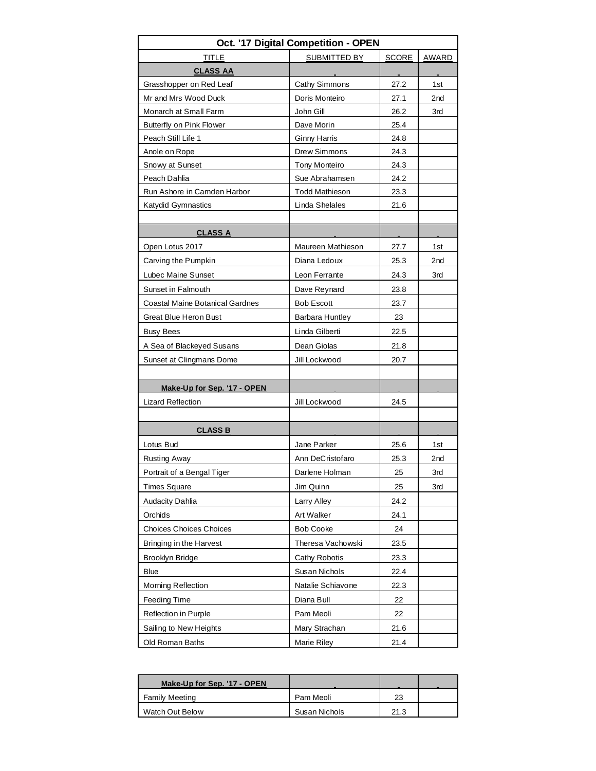| SUBMITTED BY<br><b>SCORE</b><br>TITLE<br>AWARD<br><b>CLASS AA</b><br>Grasshopper on Red Leaf<br>Cathy Simmons<br>27.2<br>1st<br>Mr and Mrs Wood Duck<br>Doris Monteiro<br>27.1<br>2 <sub>nd</sub><br>John Gill<br>26.2<br>Monarch at Small Farm<br>3rd<br>Dave Morin<br>Butterfly on Pink Flower<br>25.4<br>Peach Still Life 1<br><b>Ginny Harris</b><br>24.8<br>Anole on Rope<br>Drew Simmons<br>24.3<br>Snowy at Sunset<br><b>Tony Monteiro</b><br>24.3<br>Peach Dahlia<br>Sue Abrahamsen<br>24.2<br>Run Ashore in Camden Harbor<br><b>Todd Mathieson</b><br>23.3<br>Linda Shelales<br>Katydid Gymnastics<br>21.6<br><b>CLASS A</b><br>Maureen Mathieson<br>Open Lotus 2017<br>27.7<br>1st<br>Diana Ledoux<br>Carving the Pumpkin<br>25.3<br>2 <sub>nd</sub><br>Lubec Maine Sunset<br>Leon Ferrante<br>24.3<br>3rd<br>Sunset in Falmouth<br>Dave Reynard<br>23.8<br>Coastal Maine Botanical Gardnes<br><b>Bob Escott</b><br>23.7<br><b>Great Blue Heron Bust</b><br>Barbara Huntley<br>23<br><b>Busy Bees</b><br>Linda Gilberti<br>22.5<br>Dean Giolas<br>A Sea of Blackeyed Susans<br>21.8<br>Sunset at Clingmans Dome<br>Jill Lockwood<br>20.7<br>Make-Up for Sep. '17 - OPEN<br><b>Lizard Reflection</b><br>24.5<br>Jill Lockwood<br><b>CLASS B</b><br>Lotus Bud<br>Jane Parker<br>25.6<br>1st<br><b>Rusting Away</b><br>Ann DeCristofaro<br>25.3<br>2 <sub>nd</sub><br>25<br>3rd<br>Portrait of a Bengal Tiger<br>Darlene Holman<br><b>Times Square</b><br>Jim Quinn<br>25<br>3rd<br>Larry Alley<br>24.2<br><b>Audacity Dahlia</b><br>Orchids<br><b>Art Walker</b><br>24.1<br><b>Choices Choices Choices</b><br><b>Bob Cooke</b><br>24<br>Theresa Vachowski<br>23.5<br>Bringing in the Harvest<br>Cathy Robotis<br>Brooklyn Bridge<br>23.3<br><b>Blue</b><br>Susan Nichols<br>22.4<br><b>Morning Reflection</b><br>Natalie Schiavone<br>22.3<br>Feeding Time<br>Diana Bull<br>22<br>Reflection in Purple<br>Pam Meoli<br>22<br>Sailing to New Heights<br>Mary Strachan<br>21.6<br>Old Roman Baths<br>Marie Riley<br>21.4 | Oct. '17 Digital Competition - OPEN |  |  |  |  |  |  |  |  |  |  |
|--------------------------------------------------------------------------------------------------------------------------------------------------------------------------------------------------------------------------------------------------------------------------------------------------------------------------------------------------------------------------------------------------------------------------------------------------------------------------------------------------------------------------------------------------------------------------------------------------------------------------------------------------------------------------------------------------------------------------------------------------------------------------------------------------------------------------------------------------------------------------------------------------------------------------------------------------------------------------------------------------------------------------------------------------------------------------------------------------------------------------------------------------------------------------------------------------------------------------------------------------------------------------------------------------------------------------------------------------------------------------------------------------------------------------------------------------------------------------------------------------------------------------------------------------------------------------------------------------------------------------------------------------------------------------------------------------------------------------------------------------------------------------------------------------------------------------------------------------------------------------------------------------------------------------------------------------------------------------------------------------------------------------------|-------------------------------------|--|--|--|--|--|--|--|--|--|--|
|                                                                                                                                                                                                                                                                                                                                                                                                                                                                                                                                                                                                                                                                                                                                                                                                                                                                                                                                                                                                                                                                                                                                                                                                                                                                                                                                                                                                                                                                                                                                                                                                                                                                                                                                                                                                                                                                                                                                                                                                                                |                                     |  |  |  |  |  |  |  |  |  |  |
|                                                                                                                                                                                                                                                                                                                                                                                                                                                                                                                                                                                                                                                                                                                                                                                                                                                                                                                                                                                                                                                                                                                                                                                                                                                                                                                                                                                                                                                                                                                                                                                                                                                                                                                                                                                                                                                                                                                                                                                                                                |                                     |  |  |  |  |  |  |  |  |  |  |
|                                                                                                                                                                                                                                                                                                                                                                                                                                                                                                                                                                                                                                                                                                                                                                                                                                                                                                                                                                                                                                                                                                                                                                                                                                                                                                                                                                                                                                                                                                                                                                                                                                                                                                                                                                                                                                                                                                                                                                                                                                |                                     |  |  |  |  |  |  |  |  |  |  |
|                                                                                                                                                                                                                                                                                                                                                                                                                                                                                                                                                                                                                                                                                                                                                                                                                                                                                                                                                                                                                                                                                                                                                                                                                                                                                                                                                                                                                                                                                                                                                                                                                                                                                                                                                                                                                                                                                                                                                                                                                                |                                     |  |  |  |  |  |  |  |  |  |  |
|                                                                                                                                                                                                                                                                                                                                                                                                                                                                                                                                                                                                                                                                                                                                                                                                                                                                                                                                                                                                                                                                                                                                                                                                                                                                                                                                                                                                                                                                                                                                                                                                                                                                                                                                                                                                                                                                                                                                                                                                                                |                                     |  |  |  |  |  |  |  |  |  |  |
|                                                                                                                                                                                                                                                                                                                                                                                                                                                                                                                                                                                                                                                                                                                                                                                                                                                                                                                                                                                                                                                                                                                                                                                                                                                                                                                                                                                                                                                                                                                                                                                                                                                                                                                                                                                                                                                                                                                                                                                                                                |                                     |  |  |  |  |  |  |  |  |  |  |
|                                                                                                                                                                                                                                                                                                                                                                                                                                                                                                                                                                                                                                                                                                                                                                                                                                                                                                                                                                                                                                                                                                                                                                                                                                                                                                                                                                                                                                                                                                                                                                                                                                                                                                                                                                                                                                                                                                                                                                                                                                |                                     |  |  |  |  |  |  |  |  |  |  |
|                                                                                                                                                                                                                                                                                                                                                                                                                                                                                                                                                                                                                                                                                                                                                                                                                                                                                                                                                                                                                                                                                                                                                                                                                                                                                                                                                                                                                                                                                                                                                                                                                                                                                                                                                                                                                                                                                                                                                                                                                                |                                     |  |  |  |  |  |  |  |  |  |  |
|                                                                                                                                                                                                                                                                                                                                                                                                                                                                                                                                                                                                                                                                                                                                                                                                                                                                                                                                                                                                                                                                                                                                                                                                                                                                                                                                                                                                                                                                                                                                                                                                                                                                                                                                                                                                                                                                                                                                                                                                                                |                                     |  |  |  |  |  |  |  |  |  |  |
|                                                                                                                                                                                                                                                                                                                                                                                                                                                                                                                                                                                                                                                                                                                                                                                                                                                                                                                                                                                                                                                                                                                                                                                                                                                                                                                                                                                                                                                                                                                                                                                                                                                                                                                                                                                                                                                                                                                                                                                                                                |                                     |  |  |  |  |  |  |  |  |  |  |
|                                                                                                                                                                                                                                                                                                                                                                                                                                                                                                                                                                                                                                                                                                                                                                                                                                                                                                                                                                                                                                                                                                                                                                                                                                                                                                                                                                                                                                                                                                                                                                                                                                                                                                                                                                                                                                                                                                                                                                                                                                |                                     |  |  |  |  |  |  |  |  |  |  |
|                                                                                                                                                                                                                                                                                                                                                                                                                                                                                                                                                                                                                                                                                                                                                                                                                                                                                                                                                                                                                                                                                                                                                                                                                                                                                                                                                                                                                                                                                                                                                                                                                                                                                                                                                                                                                                                                                                                                                                                                                                |                                     |  |  |  |  |  |  |  |  |  |  |
|                                                                                                                                                                                                                                                                                                                                                                                                                                                                                                                                                                                                                                                                                                                                                                                                                                                                                                                                                                                                                                                                                                                                                                                                                                                                                                                                                                                                                                                                                                                                                                                                                                                                                                                                                                                                                                                                                                                                                                                                                                |                                     |  |  |  |  |  |  |  |  |  |  |
|                                                                                                                                                                                                                                                                                                                                                                                                                                                                                                                                                                                                                                                                                                                                                                                                                                                                                                                                                                                                                                                                                                                                                                                                                                                                                                                                                                                                                                                                                                                                                                                                                                                                                                                                                                                                                                                                                                                                                                                                                                |                                     |  |  |  |  |  |  |  |  |  |  |
|                                                                                                                                                                                                                                                                                                                                                                                                                                                                                                                                                                                                                                                                                                                                                                                                                                                                                                                                                                                                                                                                                                                                                                                                                                                                                                                                                                                                                                                                                                                                                                                                                                                                                                                                                                                                                                                                                                                                                                                                                                |                                     |  |  |  |  |  |  |  |  |  |  |
|                                                                                                                                                                                                                                                                                                                                                                                                                                                                                                                                                                                                                                                                                                                                                                                                                                                                                                                                                                                                                                                                                                                                                                                                                                                                                                                                                                                                                                                                                                                                                                                                                                                                                                                                                                                                                                                                                                                                                                                                                                |                                     |  |  |  |  |  |  |  |  |  |  |
|                                                                                                                                                                                                                                                                                                                                                                                                                                                                                                                                                                                                                                                                                                                                                                                                                                                                                                                                                                                                                                                                                                                                                                                                                                                                                                                                                                                                                                                                                                                                                                                                                                                                                                                                                                                                                                                                                                                                                                                                                                |                                     |  |  |  |  |  |  |  |  |  |  |
|                                                                                                                                                                                                                                                                                                                                                                                                                                                                                                                                                                                                                                                                                                                                                                                                                                                                                                                                                                                                                                                                                                                                                                                                                                                                                                                                                                                                                                                                                                                                                                                                                                                                                                                                                                                                                                                                                                                                                                                                                                |                                     |  |  |  |  |  |  |  |  |  |  |
|                                                                                                                                                                                                                                                                                                                                                                                                                                                                                                                                                                                                                                                                                                                                                                                                                                                                                                                                                                                                                                                                                                                                                                                                                                                                                                                                                                                                                                                                                                                                                                                                                                                                                                                                                                                                                                                                                                                                                                                                                                |                                     |  |  |  |  |  |  |  |  |  |  |
|                                                                                                                                                                                                                                                                                                                                                                                                                                                                                                                                                                                                                                                                                                                                                                                                                                                                                                                                                                                                                                                                                                                                                                                                                                                                                                                                                                                                                                                                                                                                                                                                                                                                                                                                                                                                                                                                                                                                                                                                                                |                                     |  |  |  |  |  |  |  |  |  |  |
|                                                                                                                                                                                                                                                                                                                                                                                                                                                                                                                                                                                                                                                                                                                                                                                                                                                                                                                                                                                                                                                                                                                                                                                                                                                                                                                                                                                                                                                                                                                                                                                                                                                                                                                                                                                                                                                                                                                                                                                                                                |                                     |  |  |  |  |  |  |  |  |  |  |
|                                                                                                                                                                                                                                                                                                                                                                                                                                                                                                                                                                                                                                                                                                                                                                                                                                                                                                                                                                                                                                                                                                                                                                                                                                                                                                                                                                                                                                                                                                                                                                                                                                                                                                                                                                                                                                                                                                                                                                                                                                |                                     |  |  |  |  |  |  |  |  |  |  |
|                                                                                                                                                                                                                                                                                                                                                                                                                                                                                                                                                                                                                                                                                                                                                                                                                                                                                                                                                                                                                                                                                                                                                                                                                                                                                                                                                                                                                                                                                                                                                                                                                                                                                                                                                                                                                                                                                                                                                                                                                                |                                     |  |  |  |  |  |  |  |  |  |  |
|                                                                                                                                                                                                                                                                                                                                                                                                                                                                                                                                                                                                                                                                                                                                                                                                                                                                                                                                                                                                                                                                                                                                                                                                                                                                                                                                                                                                                                                                                                                                                                                                                                                                                                                                                                                                                                                                                                                                                                                                                                |                                     |  |  |  |  |  |  |  |  |  |  |
|                                                                                                                                                                                                                                                                                                                                                                                                                                                                                                                                                                                                                                                                                                                                                                                                                                                                                                                                                                                                                                                                                                                                                                                                                                                                                                                                                                                                                                                                                                                                                                                                                                                                                                                                                                                                                                                                                                                                                                                                                                |                                     |  |  |  |  |  |  |  |  |  |  |
|                                                                                                                                                                                                                                                                                                                                                                                                                                                                                                                                                                                                                                                                                                                                                                                                                                                                                                                                                                                                                                                                                                                                                                                                                                                                                                                                                                                                                                                                                                                                                                                                                                                                                                                                                                                                                                                                                                                                                                                                                                |                                     |  |  |  |  |  |  |  |  |  |  |
|                                                                                                                                                                                                                                                                                                                                                                                                                                                                                                                                                                                                                                                                                                                                                                                                                                                                                                                                                                                                                                                                                                                                                                                                                                                                                                                                                                                                                                                                                                                                                                                                                                                                                                                                                                                                                                                                                                                                                                                                                                |                                     |  |  |  |  |  |  |  |  |  |  |
|                                                                                                                                                                                                                                                                                                                                                                                                                                                                                                                                                                                                                                                                                                                                                                                                                                                                                                                                                                                                                                                                                                                                                                                                                                                                                                                                                                                                                                                                                                                                                                                                                                                                                                                                                                                                                                                                                                                                                                                                                                |                                     |  |  |  |  |  |  |  |  |  |  |
|                                                                                                                                                                                                                                                                                                                                                                                                                                                                                                                                                                                                                                                                                                                                                                                                                                                                                                                                                                                                                                                                                                                                                                                                                                                                                                                                                                                                                                                                                                                                                                                                                                                                                                                                                                                                                                                                                                                                                                                                                                |                                     |  |  |  |  |  |  |  |  |  |  |
|                                                                                                                                                                                                                                                                                                                                                                                                                                                                                                                                                                                                                                                                                                                                                                                                                                                                                                                                                                                                                                                                                                                                                                                                                                                                                                                                                                                                                                                                                                                                                                                                                                                                                                                                                                                                                                                                                                                                                                                                                                |                                     |  |  |  |  |  |  |  |  |  |  |
|                                                                                                                                                                                                                                                                                                                                                                                                                                                                                                                                                                                                                                                                                                                                                                                                                                                                                                                                                                                                                                                                                                                                                                                                                                                                                                                                                                                                                                                                                                                                                                                                                                                                                                                                                                                                                                                                                                                                                                                                                                |                                     |  |  |  |  |  |  |  |  |  |  |
|                                                                                                                                                                                                                                                                                                                                                                                                                                                                                                                                                                                                                                                                                                                                                                                                                                                                                                                                                                                                                                                                                                                                                                                                                                                                                                                                                                                                                                                                                                                                                                                                                                                                                                                                                                                                                                                                                                                                                                                                                                |                                     |  |  |  |  |  |  |  |  |  |  |
|                                                                                                                                                                                                                                                                                                                                                                                                                                                                                                                                                                                                                                                                                                                                                                                                                                                                                                                                                                                                                                                                                                                                                                                                                                                                                                                                                                                                                                                                                                                                                                                                                                                                                                                                                                                                                                                                                                                                                                                                                                |                                     |  |  |  |  |  |  |  |  |  |  |
|                                                                                                                                                                                                                                                                                                                                                                                                                                                                                                                                                                                                                                                                                                                                                                                                                                                                                                                                                                                                                                                                                                                                                                                                                                                                                                                                                                                                                                                                                                                                                                                                                                                                                                                                                                                                                                                                                                                                                                                                                                |                                     |  |  |  |  |  |  |  |  |  |  |
|                                                                                                                                                                                                                                                                                                                                                                                                                                                                                                                                                                                                                                                                                                                                                                                                                                                                                                                                                                                                                                                                                                                                                                                                                                                                                                                                                                                                                                                                                                                                                                                                                                                                                                                                                                                                                                                                                                                                                                                                                                |                                     |  |  |  |  |  |  |  |  |  |  |
|                                                                                                                                                                                                                                                                                                                                                                                                                                                                                                                                                                                                                                                                                                                                                                                                                                                                                                                                                                                                                                                                                                                                                                                                                                                                                                                                                                                                                                                                                                                                                                                                                                                                                                                                                                                                                                                                                                                                                                                                                                |                                     |  |  |  |  |  |  |  |  |  |  |
|                                                                                                                                                                                                                                                                                                                                                                                                                                                                                                                                                                                                                                                                                                                                                                                                                                                                                                                                                                                                                                                                                                                                                                                                                                                                                                                                                                                                                                                                                                                                                                                                                                                                                                                                                                                                                                                                                                                                                                                                                                |                                     |  |  |  |  |  |  |  |  |  |  |
|                                                                                                                                                                                                                                                                                                                                                                                                                                                                                                                                                                                                                                                                                                                                                                                                                                                                                                                                                                                                                                                                                                                                                                                                                                                                                                                                                                                                                                                                                                                                                                                                                                                                                                                                                                                                                                                                                                                                                                                                                                |                                     |  |  |  |  |  |  |  |  |  |  |
|                                                                                                                                                                                                                                                                                                                                                                                                                                                                                                                                                                                                                                                                                                                                                                                                                                                                                                                                                                                                                                                                                                                                                                                                                                                                                                                                                                                                                                                                                                                                                                                                                                                                                                                                                                                                                                                                                                                                                                                                                                |                                     |  |  |  |  |  |  |  |  |  |  |
|                                                                                                                                                                                                                                                                                                                                                                                                                                                                                                                                                                                                                                                                                                                                                                                                                                                                                                                                                                                                                                                                                                                                                                                                                                                                                                                                                                                                                                                                                                                                                                                                                                                                                                                                                                                                                                                                                                                                                                                                                                |                                     |  |  |  |  |  |  |  |  |  |  |
|                                                                                                                                                                                                                                                                                                                                                                                                                                                                                                                                                                                                                                                                                                                                                                                                                                                                                                                                                                                                                                                                                                                                                                                                                                                                                                                                                                                                                                                                                                                                                                                                                                                                                                                                                                                                                                                                                                                                                                                                                                |                                     |  |  |  |  |  |  |  |  |  |  |
|                                                                                                                                                                                                                                                                                                                                                                                                                                                                                                                                                                                                                                                                                                                                                                                                                                                                                                                                                                                                                                                                                                                                                                                                                                                                                                                                                                                                                                                                                                                                                                                                                                                                                                                                                                                                                                                                                                                                                                                                                                |                                     |  |  |  |  |  |  |  |  |  |  |
|                                                                                                                                                                                                                                                                                                                                                                                                                                                                                                                                                                                                                                                                                                                                                                                                                                                                                                                                                                                                                                                                                                                                                                                                                                                                                                                                                                                                                                                                                                                                                                                                                                                                                                                                                                                                                                                                                                                                                                                                                                |                                     |  |  |  |  |  |  |  |  |  |  |

| Make-Up for Sep. '17 - OPEN |               |      | $\sim$ |
|-----------------------------|---------------|------|--------|
| <b>Family Meeting</b>       | Pam Meoli     | 23   |        |
| Watch Out Below             | Susan Nichols | 21.3 |        |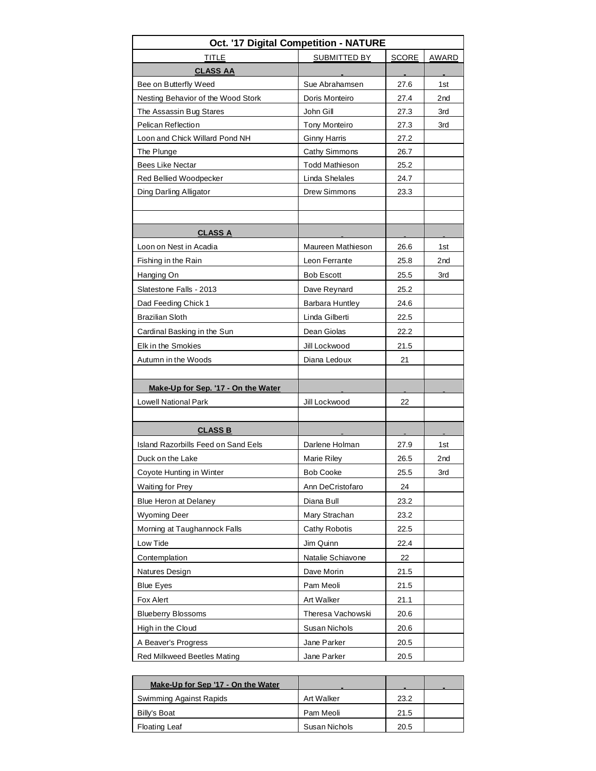| Oct. '17 Digital Competition - NATURE                 |                       |      |                 |  |  |  |  |  |  |  |  |
|-------------------------------------------------------|-----------------------|------|-----------------|--|--|--|--|--|--|--|--|
| <b>TITLE</b><br>SUBMITTED BY<br><b>SCORE</b><br>AWARD |                       |      |                 |  |  |  |  |  |  |  |  |
| <b>CLASS AA</b>                                       |                       |      |                 |  |  |  |  |  |  |  |  |
| Bee on Butterfly Weed                                 | Sue Abrahamsen        | 27.6 | 1st             |  |  |  |  |  |  |  |  |
| Nesting Behavior of the Wood Stork                    | Doris Monteiro        | 27.4 | 2 <sub>nd</sub> |  |  |  |  |  |  |  |  |
| The Assassin Bug Stares                               | John Gill             | 27.3 | 3rd             |  |  |  |  |  |  |  |  |
| Pelican Reflection                                    | <b>Tony Monteiro</b>  | 27.3 | 3rd             |  |  |  |  |  |  |  |  |
| Loon and Chick Willard Pond NH                        | <b>Ginny Harris</b>   | 27.2 |                 |  |  |  |  |  |  |  |  |
| The Plunge                                            | Cathy Simmons         | 26.7 |                 |  |  |  |  |  |  |  |  |
| <b>Bees Like Nectar</b>                               | <b>Todd Mathieson</b> | 25.2 |                 |  |  |  |  |  |  |  |  |
| Red Bellied Woodpecker                                | Linda Shelales        | 24.7 |                 |  |  |  |  |  |  |  |  |
| Ding Darling Alligator                                | Drew Simmons          | 23.3 |                 |  |  |  |  |  |  |  |  |
|                                                       |                       |      |                 |  |  |  |  |  |  |  |  |
|                                                       |                       |      |                 |  |  |  |  |  |  |  |  |
| <b>CLASS A</b>                                        |                       |      |                 |  |  |  |  |  |  |  |  |
| Loon on Nest in Acadia                                | Maureen Mathieson     | 26.6 | 1st             |  |  |  |  |  |  |  |  |
| Fishing in the Rain                                   | Leon Ferrante         | 25.8 | 2 <sub>nd</sub> |  |  |  |  |  |  |  |  |
| Hanging On                                            | <b>Bob Escott</b>     | 25.5 | 3rd             |  |  |  |  |  |  |  |  |
| Slatestone Falls - 2013                               | Dave Reynard          | 25.2 |                 |  |  |  |  |  |  |  |  |
| Dad Feeding Chick 1                                   | Barbara Huntley       | 24.6 |                 |  |  |  |  |  |  |  |  |
| <b>Brazilian Sloth</b>                                | Linda Gilberti        | 22.5 |                 |  |  |  |  |  |  |  |  |
| Cardinal Basking in the Sun                           | Dean Giolas           | 22.2 |                 |  |  |  |  |  |  |  |  |
| Elk in the Smokies                                    | Jill Lockwood         | 21.5 |                 |  |  |  |  |  |  |  |  |
| Autumn in the Woods                                   | Diana Ledoux          | 21   |                 |  |  |  |  |  |  |  |  |
|                                                       |                       |      |                 |  |  |  |  |  |  |  |  |
| Make-Up for Sep. '17 - On the Water                   |                       |      |                 |  |  |  |  |  |  |  |  |
| Lowell National Park                                  | Jill Lockwood         | 22   |                 |  |  |  |  |  |  |  |  |
|                                                       |                       |      |                 |  |  |  |  |  |  |  |  |
| <b>CLASS B</b>                                        |                       |      |                 |  |  |  |  |  |  |  |  |
| Island Razorbills Feed on Sand Eels                   | Darlene Holman        | 27.9 | 1st             |  |  |  |  |  |  |  |  |
| Duck on the Lake                                      | <b>Marie Riley</b>    | 26.5 | 2 <sub>nd</sub> |  |  |  |  |  |  |  |  |
| Coyote Hunting in Winter                              | Bob Cooke             | 25.5 | 3rd             |  |  |  |  |  |  |  |  |
| <b>Waiting for Prey</b>                               | Ann DeCristofaro      | 24   |                 |  |  |  |  |  |  |  |  |
| <b>Blue Heron at Delaney</b>                          | Diana Bull            | 23.2 |                 |  |  |  |  |  |  |  |  |
| <b>Wyoming Deer</b>                                   | Mary Strachan         | 23.2 |                 |  |  |  |  |  |  |  |  |
| Morning at Taughannock Falls                          | Cathy Robotis         | 22.5 |                 |  |  |  |  |  |  |  |  |
| Low Tide                                              | Jim Quinn             | 22.4 |                 |  |  |  |  |  |  |  |  |
| Contemplation                                         | Natalie Schiavone     | 22   |                 |  |  |  |  |  |  |  |  |
| Natures Design                                        | Dave Morin            | 21.5 |                 |  |  |  |  |  |  |  |  |
| <b>Blue Eyes</b>                                      | Pam Meoli             | 21.5 |                 |  |  |  |  |  |  |  |  |
| Fox Alert                                             | Art Walker            | 21.1 |                 |  |  |  |  |  |  |  |  |
| <b>Blueberry Blossoms</b>                             | Theresa Vachowski     | 20.6 |                 |  |  |  |  |  |  |  |  |
| High in the Cloud                                     | Susan Nichols         | 20.6 |                 |  |  |  |  |  |  |  |  |
| A Beaver's Progress                                   | Jane Parker           | 20.5 |                 |  |  |  |  |  |  |  |  |
|                                                       |                       |      |                 |  |  |  |  |  |  |  |  |
| Red Milkweed Beetles Mating                           | Jane Parker           | 20.5 |                 |  |  |  |  |  |  |  |  |

| Make-Up for Sep '17 - On the Water |               | <b>COL</b> |  |
|------------------------------------|---------------|------------|--|
| Swimming Against Rapids            | Art Walker    | 23.2       |  |
| Billy's Boat                       | Pam Meoli     | 21.5       |  |
| <b>Floating Leaf</b>               | Susan Nichols | 20.5       |  |